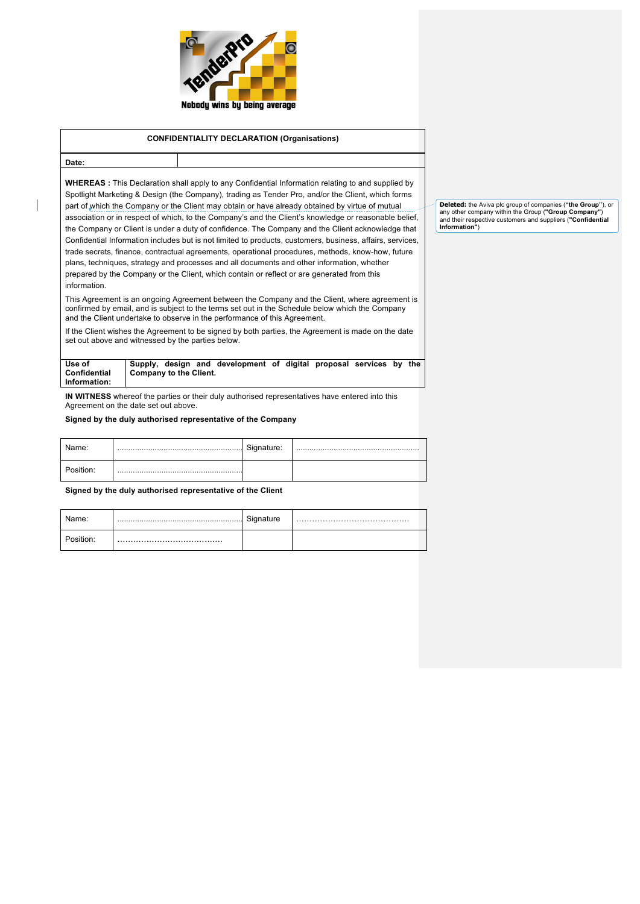

# **CONFIDENTIALITY DECLARATION (Organisations)**

# **Date:**

**WHEREAS :** This Declaration shall apply to any Confidential Information relating to and supplied by Spotlight Marketing & Design (the Company), trading as Tender Pro, and/or the Client, which forms part of which the Company or the Client may obtain or have already obtained by virtue of mutual association or in respect of which, to the Company's and the Client's knowledge or reasonable belief, the Company or Client is under a duty of confidence. The Company and the Client acknowledge that Confidential Information includes but is not limited to products, customers, business, affairs, services, trade secrets, finance, contractual agreements, operational procedures, methods, know-how, future plans, techniques, strategy and processes and all documents and other information, whether prepared by the Company or the Client, which contain or reflect or are generated from this information.

This Agreement is an ongoing Agreement between the Company and the Client, where agreement is confirmed by email, and is subject to the terms set out in the Schedule below which the Company and the Client undertake to observe in the performance of this Agreement.

If the Client wishes the Agreement to be signed by both parties, the Agreement is made on the date set out above and witnessed by the parties below.

| Use of       |                               |  | Supply, design and development of digital proposal services by the |  |  |  |
|--------------|-------------------------------|--|--------------------------------------------------------------------|--|--|--|
| Confidential | <b>Company to the Client.</b> |  |                                                                    |  |  |  |
| Information: |                               |  |                                                                    |  |  |  |

**IN WITNESS** whereof the parties or their duly authorised representatives have entered into this Agreement on the date set out above.

**Signed by the duly authorised representative of the Company**

| Name:     | Signature: |  |
|-----------|------------|--|
| Position: |            |  |

**Signed by the duly authorised representative of the Client**

| Name: | $\sim$<br>signature |  |
|-------|---------------------|--|
|       |                     |  |

**Deleted:** the Aviva plc group of companies (**"the Group"**), or any other company within the Group (**"Group Company"**) and their respective customers and suppliers (**"Confidential Information"**)